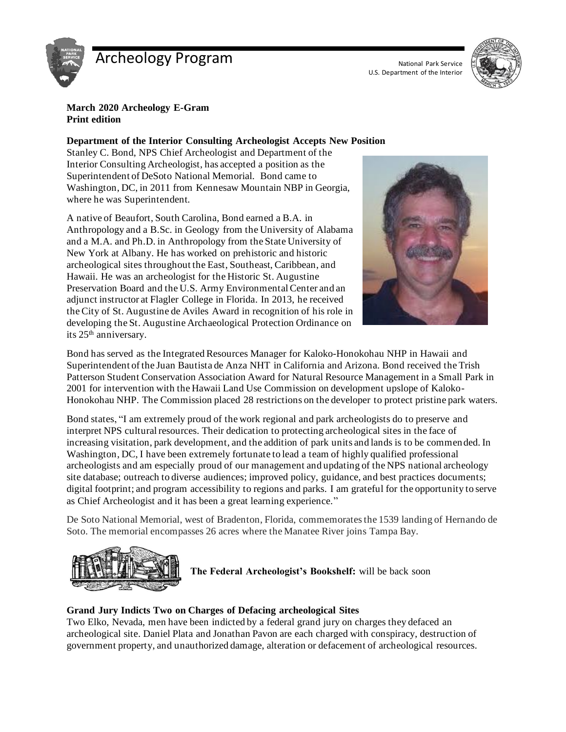

# Archeology Program National Park Service

U.S. Department of the Interior



**March 2020 Archeology E-Gram Print edition**

#### **Department of the Interior Consulting Archeologist Accepts New Position**

Stanley C. Bond, NPS Chief Archeologist and Department of the Interior Consulting Archeologist, has accepted a position as the Superintendent of DeSoto National Memorial. Bond came to Washington, DC, in 2011 from Kennesaw Mountain NBP in Georgia, where he was Superintendent.

A native of Beaufort, South Carolina, Bond earned a B.A. in Anthropology and a B.Sc. in Geology from the University of Alabama and a M.A. and Ph.D. in Anthropology from the State University of New York at Albany. He has worked on prehistoric and historic archeological sites throughout the East, Southeast, Caribbean, and Hawaii. He was an archeologist for the Historic St. Augustine Preservation Board and the U.S. Army Environmental Center and an adjunct instructor at Flagler College in Florida. In 2013, he received the City of St. Augustine de Aviles Award in recognition of his role in developing the St. Augustine Archaeological Protection Ordinance on its 25th anniversary.



Bond has served as the Integrated Resources Manager for Kaloko-Honokohau NHP in Hawaii and Superintendent of the Juan Bautista de Anza NHT in California and Arizona. Bond received the Trish Patterson Student Conservation Association Award for Natural Resource Management in a Small Park in 2001 for intervention with the Hawaii Land Use Commission on development upslope of Kaloko-Honokohau NHP. The Commission placed 28 restrictions on the developer to protect pristine park waters.

Bond states, "I am extremely proud of the work regional and park archeologists do to preserve and interpret NPS cultural resources. Their dedication to protecting archeological sites in the face of increasing visitation, park development, and the addition of park units and lands is to be commended. In Washington, DC, I have been extremely fortunate to lead a team of highly qualified professional archeologists and am especially proud of our management and updating of the NPS national archeology site database; outreach to diverse audiences; improved policy, guidance, and best practices documents; digital footprint; and program accessibility to regions and parks. I am grateful for the opportunity to serve as Chief Archeologist and it has been a great learning experience."

De Soto National Memorial, west of Bradenton, Florida, commemorates the 1539 landing of Hernando de Soto. The memorial encompasses 26 acres where the Manatee River joins Tampa Bay.



**The Federal Archeologist's Bookshelf:** will be back soon

## **Grand Jury Indicts Two on Charges of Defacing archeological Sites**

Two Elko, Nevada, men have been indicted by a federal grand jury on charges they defaced an archeological site. Daniel Plata and Jonathan Pavon are each charged with conspiracy, destruction of government property, and unauthorized damage, alteration or defacement of archeological resources.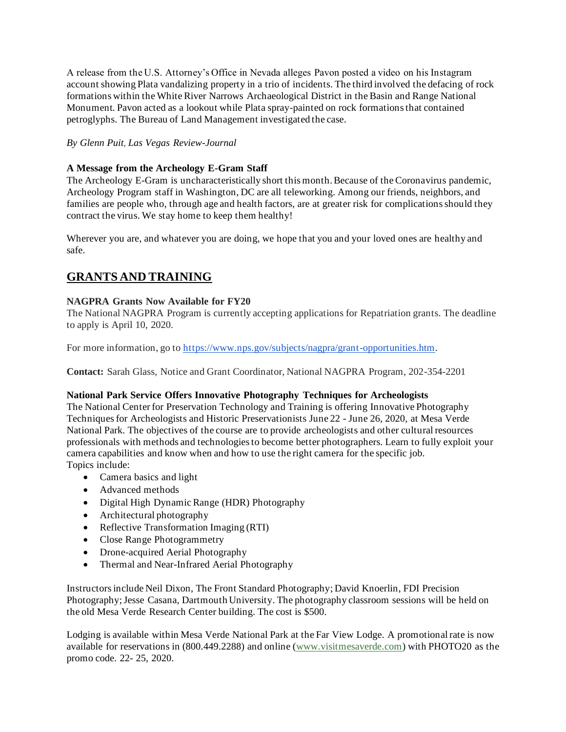A release from the U.S. Attorney's Office in Nevada alleges Pavon posted a video on his Instagram account showing Plata vandalizing property in a trio of incidents. The third involved the defacing of rock formations within the White River Narrows Archaeological District in the Basin and Range National Monument. Pavon acted as a lookout while Plata spray-painted on rock formations that contained petroglyphs. The Bureau of Land Management investigated the case.

#### *By Glenn Puit, Las Vegas Review-Journal*

#### **A Message from the Archeology E-Gram Staff**

The Archeology E-Gram is uncharacteristically short this month. Because of the Coronavirus pandemic, Archeology Program staff in Washington, DC are all teleworking. Among our friends, neighbors, and families are people who, through age and health factors, are at greater risk for complications should they contract the virus. We stay home to keep them healthy!

Wherever you are, and whatever you are doing, we hope that you and your loved ones are healthy and safe.

# **GRANTS AND TRAINING**

#### **NAGPRA Grants Now Available for FY20**

The National NAGPRA Program is currently accepting applications for Repatriation grants. The deadline to apply is April 10, 2020.

For more information, go to [https://www.nps.gov/subjects/nagpra/grant-opportunities.htm.](https://www.nps.gov/subjects/nagpra/grant-opportunities.htm)

**Contact:** Sarah Glass, Notice and Grant Coordinator, National NAGPRA Program, 202-354-2201

#### **National Park Service Offers Innovative Photography Techniques for Archeologists**

The National Center for Preservation Technology and Training is offering Innovative Photography Techniques for Archeologists and Historic Preservationists June 22 - June 26, 2020, at Mesa Verde National Park. The objectives of the course are to provide archeologists and other cultural resources professionals with methods and technologies to become better photographers. Learn to fully exploit your camera capabilities and know when and how to use the right camera for the specific job. Topics include:

- Camera basics and light
- Advanced methods
- Digital High Dynamic Range (HDR) Photography
- Architectural photography
- Reflective Transformation Imaging (RTI)
- Close Range Photogrammetry
- Drone-acquired Aerial Photography
- Thermal and Near-Infrared Aerial Photography

Instructorsinclude Neil Dixon, The Front Standard Photography; David Knoerlin, FDI Precision Photography; Jesse Casana, Dartmouth University. The photography classroom sessions will be held on the old Mesa Verde Research Center building. The cost is \$500.

Lodging is available within Mesa Verde National Park at the Far View Lodge. A promotional rate is now available for reservations in (800.449.2288) and online [\(www.visitmesaverde.com\)](http://r20.rs6.net/tn.jsp?f=001g8W0yWFCCYLlc9olyP9y1diea1vogEaqXRxPtCTV7n5kWO0EOgRItwBfnwY4EzMhbNqXJv5UheIXTOeB2oYENTXp0fiiQNuR6Qpb5E1uCkaTXbUxIsH7_JqocdfisIU0lfzn0-6L0K8gbedJO9jOrayWYmbGs4HLHBUVPw4pJHEtiE7beGeRiA==&c=aOxhWnX6IHk5YTqJ4G6-e3s64cjodyrygDO6U5BV-Arx28JnOZI3-Q==&ch=oD5ESG0bs_2R7Wrc8BLgRzg9LJ-pZ-3wlJNyDjzRJbrYlbecQb7vpw==) with PHOTO20 as the promo code. 22- 25, 2020.